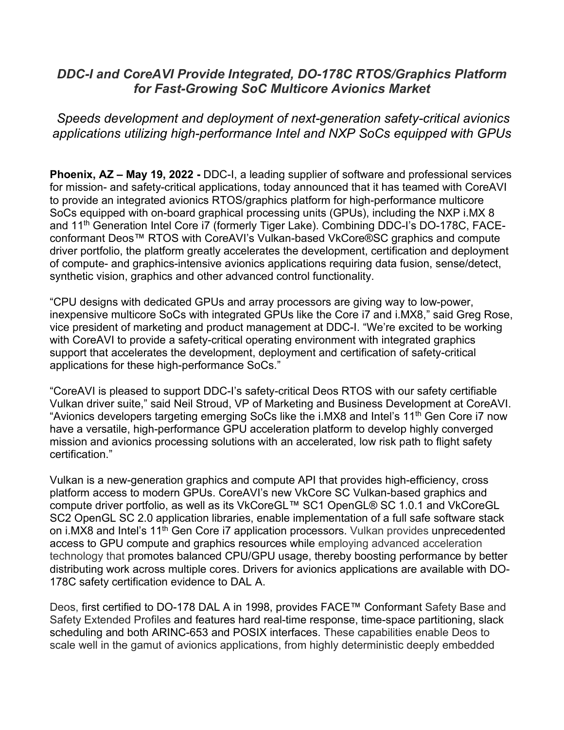# *DDC-I and CoreAVI Provide Integrated, DO-178C RTOS/Graphics Platform for Fast-Growing SoC Multicore Avionics Market*

## *Speeds development and deployment of next-generation safety-critical avionics applications utilizing high-performance Intel and NXP SoCs equipped with GPUs*

**Phoenix, AZ – May 19, 2022 -** DDC-I, a leading supplier of software and professional services for mission- and safety-critical applications, today announced that it has teamed with CoreAVI to provide an integrated avionics RTOS/graphics platform for high-performance multicore SoCs equipped with on-board graphical processing units (GPUs), including the NXP i.MX 8 and 11<sup>th</sup> Generation Intel Core i7 (formerly Tiger Lake). Combining DDC-I's DO-178C, FACEconformant Deos™ RTOS with CoreAVI's Vulkan-based VkCore®SC graphics and compute driver portfolio, the platform greatly accelerates the development, certification and deployment of compute- and graphics-intensive avionics applications requiring data fusion, sense/detect, synthetic vision, graphics and other advanced control functionality.

"CPU designs with dedicated GPUs and array processors are giving way to low-power, inexpensive multicore SoCs with integrated GPUs like the Core i7 and i.MX8," said Greg Rose, vice president of marketing and product management at DDC-I. "We're excited to be working with CoreAVI to provide a safety-critical operating environment with integrated graphics support that accelerates the development, deployment and certification of safety-critical applications for these high-performance SoCs."

"CoreAVI is pleased to support DDC-I's safety-critical Deos RTOS with our safety certifiable Vulkan driver suite," said Neil Stroud, VP of Marketing and Business Development at CoreAVI. "Avionics developers targeting emerging SoCs like the i.MX8 and Intel's 11<sup>th</sup> Gen Core i7 now have a versatile, high-performance GPU acceleration platform to develop highly converged mission and avionics processing solutions with an accelerated, low risk path to flight safety certification."

Vulkan is a new-generation graphics and compute API that provides high-efficiency, cross platform access to modern GPUs. CoreAVI's new VkCore SC Vulkan-based graphics and compute driver portfolio, as well as its VkCoreGL™ SC1 OpenGL® SC 1.0.1 and VkCoreGL SC2 OpenGL SC 2.0 application libraries, enable implementation of a full safe software stack on i.MX8 and Intel's 11<sup>th</sup> Gen Core i7 application processors. Vulkan provides unprecedented access to GPU compute and graphics resources while employing advanced acceleration technology that promotes balanced CPU/GPU usage, thereby boosting performance by better distributing work across multiple cores. Drivers for avionics applications are available with DO-178C safety certification evidence to DAL A.

Deos, first certified to DO-178 DAL A in 1998, provides FACE™ Conformant Safety Base and Safety Extended Profiles and features hard real-time response, time-space partitioning, slack scheduling and both ARINC-653 and POSIX interfaces. These capabilities enable Deos to scale well in the gamut of avionics applications, from highly deterministic deeply embedded